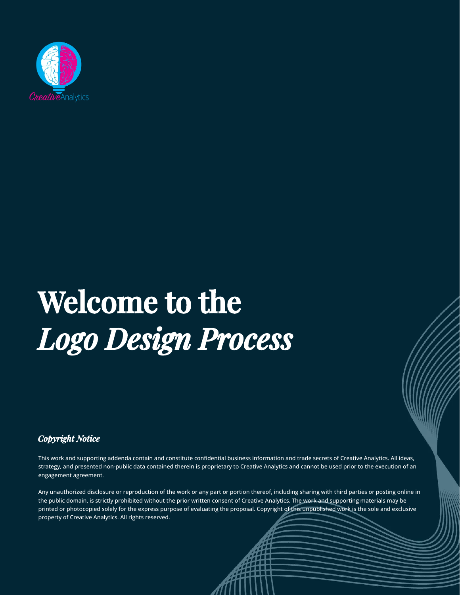

# Welcome to the *Logo Design Process*

*Copyright Notice*

This work and supporting addenda contain and constitute confidential business information and trade secrets of Creative Analytics. All ideas, strategy, and presented non-public data contained therein is proprietary to Creative Analytics and cannot be used prior to the execution of an engagement agreement.

Any unauthorized disclosure or reproduction of the work or any part or portion thereof, including sharing with third parties or posting online in the public domain, is strictly prohibited without the prior written consent of Creative Analytics. The work and supporting materials may be printed or photocopied solely for the express purpose of evaluating the proposal. Copyright of this unpublished work is the sole and exclusive property of Creative Analytics. All rights reserved.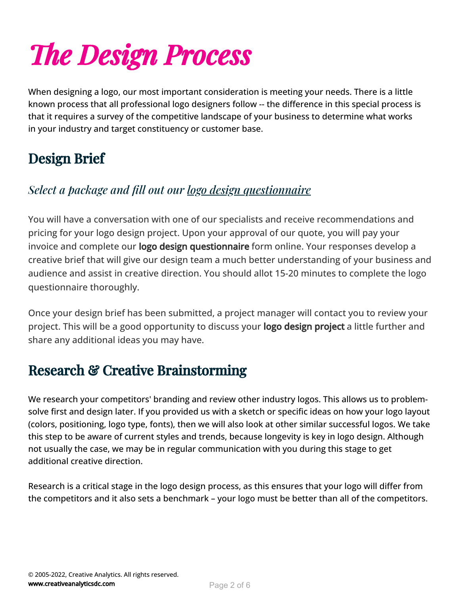# *e Design Process*

When designing a logo, our most important consideration is meeting your needs. There is a little known process that all professional logo designers follow -- the difference in this special process is that it requires a survey of the competitive landscape of your business to determine what works in your industry and target constituency or customer base.

# Design Brief

### *Select a package and ll out our logo design [questionnaire](https://creativeanalyticsdc.com/services/logo-design/start-logo-design-order/)*

You will have a conversation with one of our specialists and receive recommendations and pricing for your logo design project. Upon your approval of our quote, you will pay your invoice and complete our **logo design questionnaire** form online. Your responses develop a creative brief that will give our design team a much better understanding of your business and audience and assist in creative direction. You should allot 15-20 minutes to complete the logo questionnaire thoroughly.

Once your design brief has been submitted, a project manager will contact you to review your project. This will be a good opportunity to discuss your **logo design project** a little further and share any additional ideas you may have.

# Research & Creative Brainstorming

We research your competitors' branding and review other industry logos. This allows us to problemsolve first and design later. If you provided us with a sketch or specific ideas on how your logo layout (colors, positioning, logo type, fonts), then we will also look at other similar successful logos. We take this step to be aware of current styles and trends, because longevity is key in logo design. Although not usually the case, we may be in regular communication with you during this stage to get additional creative direction.

Research is a critical stage in the logo design process, as this ensures that your logo will differ from the competitors and it also sets a benchmark – your logo must be better than all of the competitors.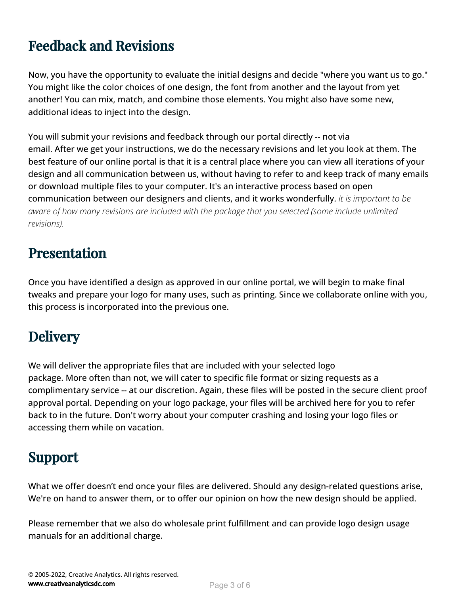# Feedback and Revisions

Now, you have the opportunity to evaluate the initial designs and decide "where you want us to go." You might like the color choices of one design, the font from another and the layout from yet another! You can mix, match, and combine those elements. You might also have some new, additional ideas to inject into the design.

You will submit your revisions and feedback through our portal directly -- not via email. After we get your instructions, we do the necessary revisions and let you look at them. The best feature of our online portal is that it is a central place where you can view all iterations of your design and all communication between us, without having to refer to and keep track of many emails or download multiple files to your computer. It's an interactive process based on open communication between our designers and clients, and it works wonderfully. *It is important to be aware of how many revisions are included with the package that you selected (some include unlimited revisions).*

## Presentation

Once you have identified a design as approved in our online portal, we will begin to make final tweaks and prepare your logo for many uses, such as printing. Since we collaborate online with you, this process is incorporated into the previous one.

# **Delivery**

We will deliver the appropriate files that are included with your selected logo package. More often than not, we will cater to specific file format or sizing requests as a complimentary service -- at our discretion. Again, these files will be posted in the secure client proof approval portal. Depending on your logo package, your files will be archived here for you to refer back to in the future. Don't worry about your computer crashing and losing your logo files or accessing them while on vacation.

## Support

What we offer doesn't end once your files are delivered. Should any design-related questions arise, We're on hand to answer them, or to offer our opinion on how the new design should be applied.

Please remember that we also do wholesale print fulllment and can provide logo design usage manuals for an additional charge.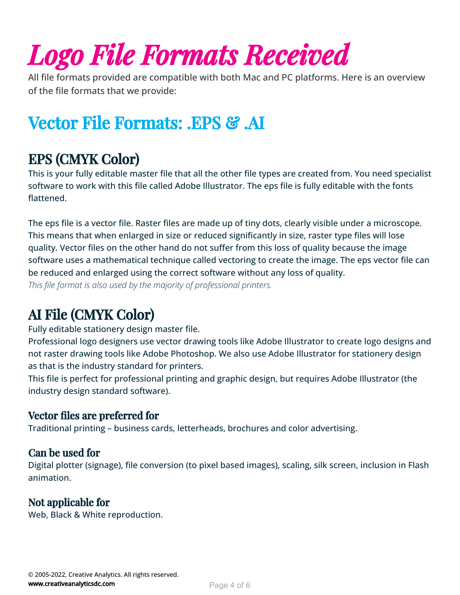# *Logo File Formats Received*

All file formats provided are compatible with both Mac and PC platforms. Here is an overview of the file formats that we provide:

# Vector File Formats: .EPS & .AI

# EPS (CMYK Color)

This is your fully editable master file that all the other file types are created from. You need specialist software to work with this file called Adobe Illustrator. The eps file is fully editable with the fonts flattened.

The eps file is a vector file. Raster files are made up of tiny dots, clearly visible under a microscope. This means that when enlarged in size or reduced significantly in size, raster type files will lose quality. Vector files on the other hand do not suffer from this loss of quality because the image software uses a mathematical technique called vectoring to create the image. The eps vector file can be reduced and enlarged using the correct software without any loss of quality. *This file format is also used by the majority of professional printers.* 

## AI File (CMYK Color)

Fully editable stationery design master file.

Professional logo designers use vector drawing tools like Adobe Illustrator to create logo designs and not raster drawing tools like Adobe Photoshop. We also use Adobe Illustrator for stationery design as that is the industry standard for printers.

This file is perfect for professional printing and graphic design, but requires Adobe Illustrator (the industry design standard software).

### Vector files are preferred for

Traditional printing – business cards, letterheads, brochures and color advertising.

#### Can be used for

Digital plotter (signage), file conversion (to pixel based images), scaling, silk screen, inclusion in Flash animation.

### Not applicable for

Web, Black & White reproduction.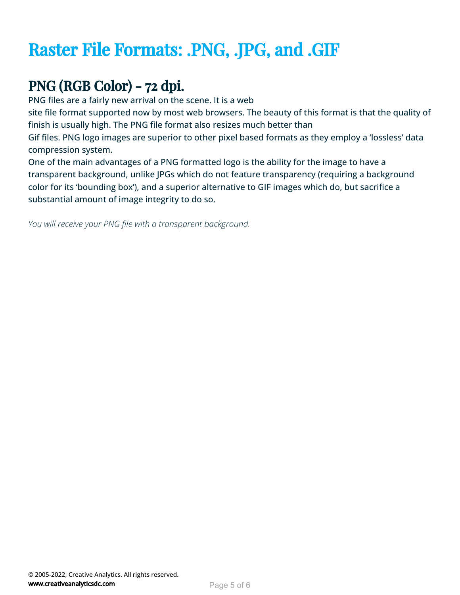# Raster File Formats: .PNG, .JPG, and .GIF

# PNG (RGB Color) - 72 dpi.

PNG files are a fairly new arrival on the scene. It is a web

site file format supported now by most web browsers. The beauty of this format is that the quality of finish is usually high. The PNG file format also resizes much better than

Gif files. PNG logo images are superior to other pixel based formats as they employ a 'lossless' data compression system.

One of the main advantages of a PNG formatted logo is the ability for the image to have a transparent background, unlike JPGs which do not feature transparency (requiring a background color for its 'bounding box'), and a superior alternative to GIF images which do, but sacrifice a substantial amount of image integrity to do so.

You will receive your PNG file with a transparent background.